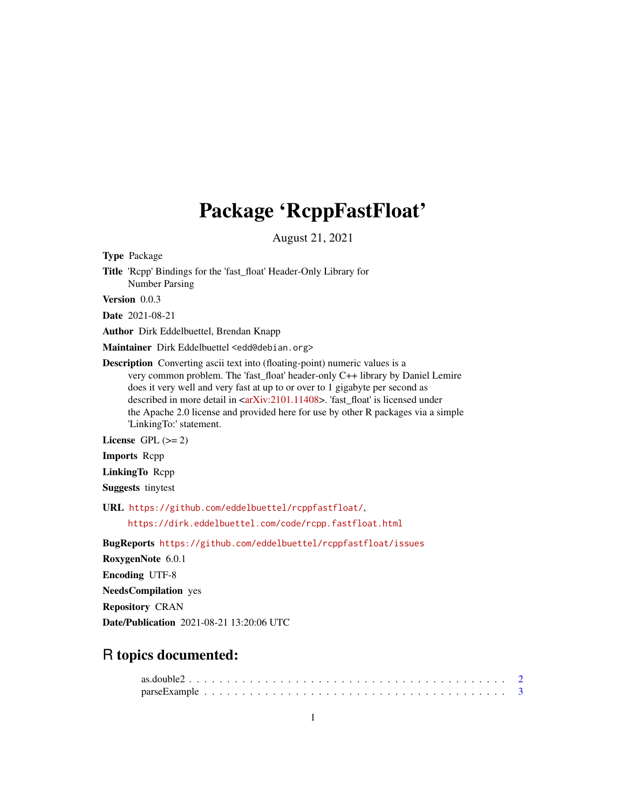## Package 'RcppFastFloat'

August 21, 2021

Type Package

Title 'Rcpp' Bindings for the 'fast\_float' Header-Only Library for Number Parsing

Version 0.0.3

Date 2021-08-21

Author Dirk Eddelbuettel, Brendan Knapp

Maintainer Dirk Eddelbuettel <edd@debian.org>

Description Converting ascii text into (floating-point) numeric values is a very common problem. The 'fast\_float' header-only C++ library by Daniel Lemire does it very well and very fast at up to or over to 1 gigabyte per second as described in more detail in [<arXiv:2101.11408>](https://arxiv.org/abs/2101.11408). 'fast\_float' is licensed under the Apache 2.0 license and provided here for use by other R packages via a simple 'LinkingTo:' statement.

License GPL  $(>= 2)$ 

Imports Rcpp

LinkingTo Rcpp

Suggests tinytest

URL <https://github.com/eddelbuettel/rcppfastfloat/>,

<https://dirk.eddelbuettel.com/code/rcpp.fastfloat.html>

BugReports <https://github.com/eddelbuettel/rcppfastfloat/issues>

RoxygenNote 6.0.1

Encoding UTF-8

NeedsCompilation yes

Repository CRAN

Date/Publication 2021-08-21 13:20:06 UTC

### R topics documented: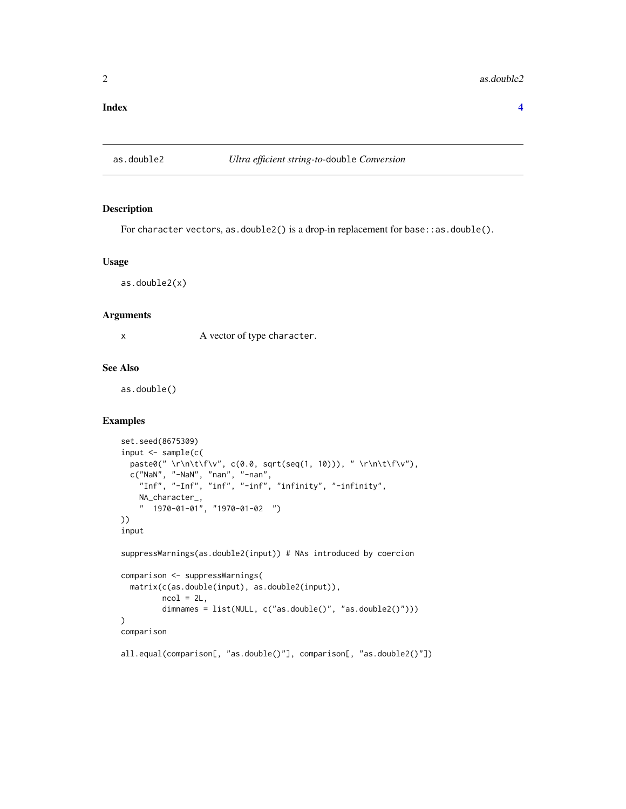#### <span id="page-1-0"></span> $2 \cos \theta$  as. double2

#### **Index** [4](#page-3-0)

#### as.double2 *Ultra efficient string-to-*double *Conversion*

#### Description

For character vectors, as.double2() is a drop-in replacement for base::as.double().

#### Usage

as.double2(x)

#### Arguments

x A vector of type character.

#### See Also

as.double()

#### Examples

```
set.seed(8675309)
input <- sample(c(
  paste0(" \r\n\t\f\v", c(0.0, sqrt(seq(1, 10))), " \r\n\t\f\v"),
  c("NaN", "-NaN", "nan", "-nan",
    "Inf", "-Inf", "inf", "-inf", "infinity", "-infinity",
   NA_character_,
    " 1970-01-01", "1970-01-02 ")
))
input
```
suppressWarnings(as.double2(input)) # NAs introduced by coercion

```
comparison <- suppressWarnings(
  matrix(c(as.double(input), as.double2(input)),
         ncol = 2L,
         dimnames = list(NULL, c("as.double()", "as.double2()")))
)
comparison
```
all.equal(comparison[, "as.double()"], comparison[, "as.double2()"])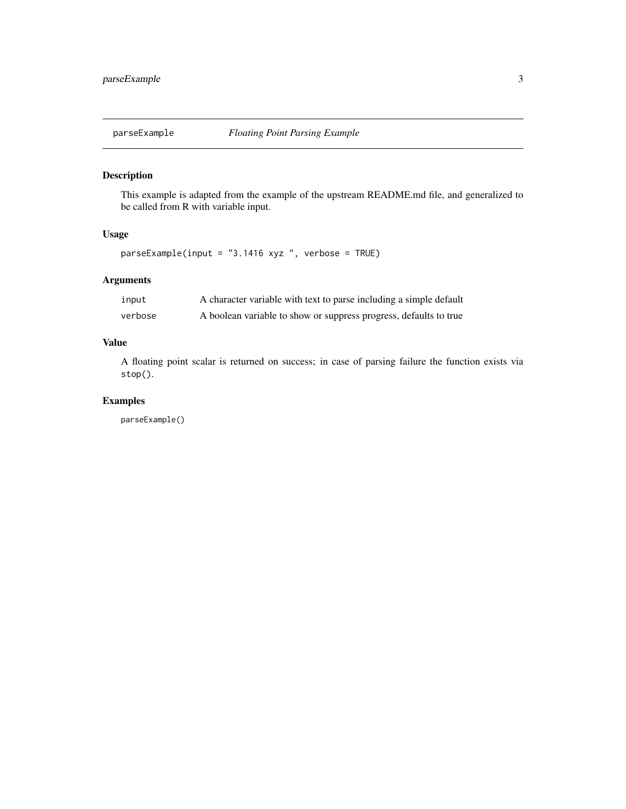<span id="page-2-0"></span>

#### Description

This example is adapted from the example of the upstream README.md file, and generalized to be called from R with variable input.

#### Usage

parseExample(input = "3.1416 xyz ", verbose = TRUE)

#### Arguments

| input   | A character variable with text to parse including a simple default |
|---------|--------------------------------------------------------------------|
| verbose | A boolean variable to show or suppress progress, defaults to true  |

#### Value

A floating point scalar is returned on success; in case of parsing failure the function exists via stop().

#### Examples

parseExample()